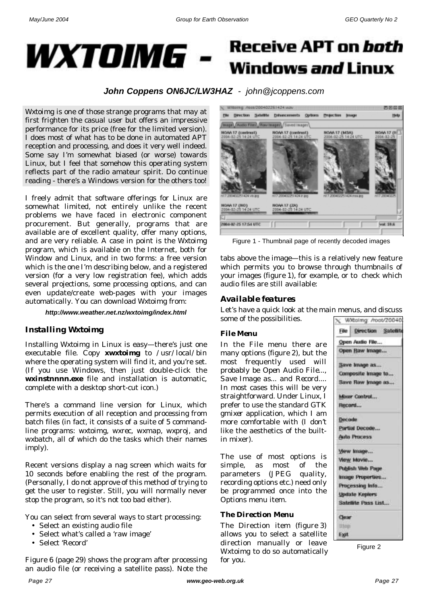

# **Receive APT on both** Windows *and* Linux

*John Coppens ON6JC/LW3HAZ - john@jcoppens.com*

*Wxtoimg* is one of those strange programs that may at first frighten the casual user but offers an impressive performance for its price (free for the limited version). I does most of what has to be done in automated APT reception and processing, and does it very well indeed. Some say I'm somewhat biased (or worse) towards Linux, but I feel that somehow this operating system reflects part of the radio amateur spirit. Do continue reading - there's a Windows version for the others too!

I freely admit that software offerings for Linux are somewhat limited, not entirely unlike the recent problems we have faced in electronic component procurement. But generally, programs that are available are of excellent quality, offer many options, and are very reliable. A case in point is the *Wxtoimg* program, which is available on the Internet, both for Window and Linux, and in two forms: a free version which is the one I'm describing below, and a registered version (for a very low registration fee), which adds several projections, some processing options, and can even update/create web-pages with your images automatically. You can download *Wxtoimg* from:

*http://www.weather.net.nz/wxtoimg/index.html*

## *Installing Wxtoimg*

Installing *Wxtoimg* in Linux is easy—there's just one executable file. Copy *xwxtoimg* to */usr/local/bin* where the operating system will find it, and you're set. (If you use Windows, then just double-click the *wxinstnnnn.exe* file and installation is automatic, complete with a desktop short-cut icon.)

There's a command line version for Linux, which permits execution of all reception and processing from batch files (in fact, it consists of a suite of 5 commandline programs: *wxtoimg*, *wxrec*, *wxmap*, *wxproj*, and *wxbatch*, all of which do the tasks which their names imply).

Recent versions display a nag screen which waits for 10 seconds before enabling the rest of the program. (Personally, I do not approve of this method of trying to get the user to register. Still, you will normally never stop the program, so it's not too bad either).

You can select from several ways to start processing:

- Select an existing audio file
- Select what's called a 'raw image'
- Select 'Record'

Figure 6 (page 29) shows the program after processing an audio file (or receiving a satellite pass). Note the



Figure 1 - Thumbnail page of recently decoded images

tabs above the image—this is a relatively new feature which permits you to browse through thumbnails of your images (figure 1), for example, or to check which audio files are still available:

# *Available features*

Let's have a quick look at the main menus, and discuss some of the possibilities.

## *File Menu*

In the File menu there are many options (figure 2), but the most frequently used will probably be *Open Audio File...*, *Save Image as...* and *Record*.... In most cases this will be very straightforward. Under Linux, I prefer to use the standard *GTK gmixer* application, which I am more comfortable with (I don't like the aesthetics of the builtin mixer).

The use of most options is simple, as most of the parameters (JPEG quality, recording options etc.) need only be programmed once into the Options menu item.

## *The Direction Menu*

The Direction item (figure 3) allows you to select a satellite direction manually or leave Wxtoimg to do so automatically for you.

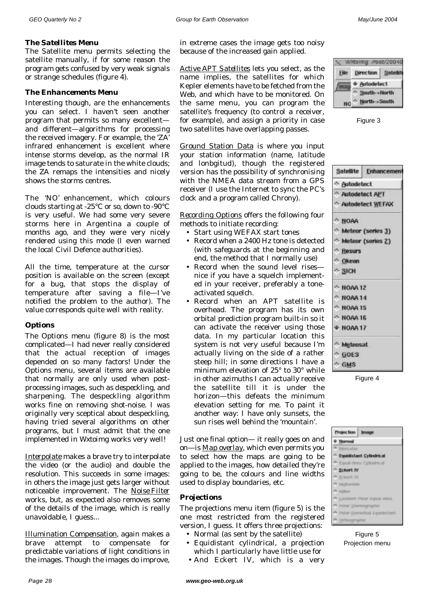#### *The Satellites Menu*

The Satellite menu permits selecting the satellite manually, if for some reason the program gets confused by very weak signals or strange schedules (figure 4).

#### *The Enhancements Menu*

Interesting though, are the enhancements you can select. I haven't seen another program that permits so many excellent and different—algorithms for processing the received imagery. For example, the '*ZA'* infrared enhancement is excellent where intense storms develop, as the normal IR image tends to saturate in the white clouds; the ZA remaps the intensities and nicely shows the storms centres.

The '*NO'* enhancement, which colours clouds starting at -25°C or so, down to -90°C is very useful. We had some very severe storms here in Argentina a couple of months ago, and they were very nicely rendered using this mode (I even warned the local Civil Defence authorities).

All the time, temperature at the cursor position is available on the screen (except for a bug, that stops the display of temperature after saving a file—I've notified the problem to the author). The value corresponds quite well with reality.

#### *Options*

The Options menu (figure 8) is the most complicated—I had never really considered that the actual reception of images depended on so many factors! Under the Options menu, several items are available that normally are only used when postprocessing images, such as *despeckling*, and *sharpening*. The despeckling algorithm works fine on removing shot-noise. I was originally very sceptical about despeckling, having tried several algorithms on other programs, but I must admit that the one implemented in *Wxtoimg* works very well!

*Interpolate* makes a brave try to interpolate the video (or the audio) and double the resolution. This succeeds in some images: in others the image just gets larger without noticeable improvement. The *Noise Filter* works, but, as expected also removes some of the details of the image, which is really unavoidable, I guess...

*Illumination Compensation*, again makes a brave attempt to compensate for predictable variations of light conditions in the images. Though the images do improve,

in extreme cases the image gets too noisy because of the increased gain applied.

*Active APT Satellites* lets you select, as the name implies, the satellites for which Kepler elements have to be fetched from the Web, and which have to be monitored. On the same menu, you can program the satellite's frequency (to control a receiver, for example), and assign a priority in case two satellites have overlapping passes.

*Ground Station Data* is where you input your station information (name, latitude and lonbgitud), though the registered version has the possibility of synchronising with the NMEA data stream from a GPS receiver (I use the Internet to sync the PC's clock and a program called *Chrony*).

*Recording Options* offers the following four methods to initiate recording:

- Start using WEFAX start tones
- Record when a 2400 Hz tone is detected (with safeguards at the beginning and end, the method that I normally use)
- Record when the sound level rises nice if you have a squelch implemented in your receiver, preferably a toneactivated squelch.
- Record when an APT satellite is overhead. The program has its own orbital prediction program built-in so it can activate the receiver using those data. In my particular location this system is not very useful because I'm actually living on the side of a rather steep hill; in some directions I have a minimum elevation of 25° to 30° while in other azimuths I can actually receive the satellite till it is under the horizon—this defeats the minimum elevation setting for me. To paint it another way: I have only sunsets, the sun rises well behind the 'mountain'.

Just one final option— it really goes on and on—is *Map overlay*, which even permits you to select how the maps are going to be applied to the images, how detailed they're going to be, the colours and line widths used to display boundaries, etc.

#### *Projections*

The projections menu item (figure 5) is the one most restricted from the registered version, I guess. It offers three projections:

- Normal (as sent by the satellite)
- Equidistant cylindrical, a projection which I particularly have little use for
- And Eckert IV, which is a very



Figure 3

|                     | Satellite Enhancemen |
|---------------------|----------------------|
| Autodetect          |                      |
| Autodetect APT      |                      |
|                     | Autodetect WEFAX     |
| $^{\circ}$ NOAA     |                      |
|                     | A Meteor (series 3)  |
|                     | A Meteor (series 2)  |
| <sup>A</sup> Resurs |                      |
| <b>Okean</b>        |                      |
| $\sim$ SICH         |                      |
| $^{\circ}$ NOAA 12  |                      |
| $^{\circ}$ NOAA 14  |                      |
| $^{\circ}$ NOAA 15  |                      |
| ← NOAA 16           |                      |
| + NOAA 17           |                      |
| A Meteosat          |                      |
| $\sim$ GOES         |                      |
| $-$ GMS             |                      |

Figure 4

| Projection Image |                                      |  |
|------------------|--------------------------------------|--|
|                  | + Normal                             |  |
|                  |                                      |  |
|                  | <sup>6</sup> Mercator                |  |
|                  | <sup>6</sup> Equidistant Cylindrical |  |
|                  | <sup>6</sup> Equal-Area Cylindrical  |  |
|                  | <b>C Eckert IV</b>                   |  |
|                  | <sup>6</sup> Eckert VI               |  |
|                  | <b>C. McDwelde</b>                   |  |
|                  | A Miller                             |  |
|                  | A Lambert Polar Equal-Area           |  |
|                  | A Polar Stereographic                |  |
|                  | A Polar Azimuthal Equidistant        |  |
|                  | Orthographic                         |  |

Figure 5 Projection menu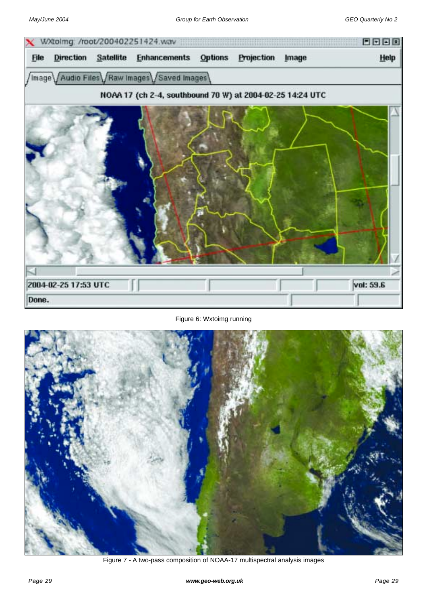

Figure 6: Wxtoimg running



Figure 7 - A two-pass composition of NOAA-17 multispectral analysis images